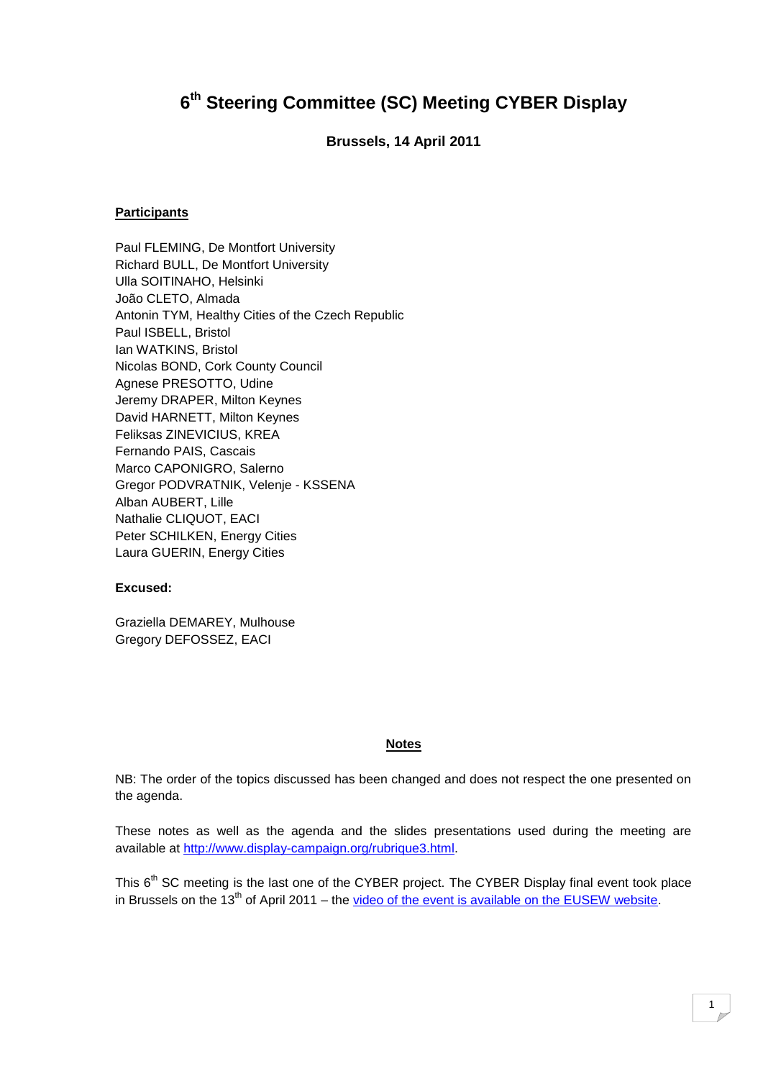# **6 th Steering Committee (SC) Meeting CYBER Display**

**Brussels, 14 April 2011**

### **Participants**

Paul FLEMING, De Montfort University Richard BULL, De Montfort University Ulla SOITINAHO, Helsinki João CLETO, Almada Antonin TYM, Healthy Cities of the Czech Republic Paul ISBELL, Bristol Ian WATKINS, Bristol Nicolas BOND, Cork County Council Agnese PRESOTTO, Udine Jeremy DRAPER, Milton Keynes David HARNETT, Milton Keynes Feliksas ZINEVICIUS, KREA Fernando PAIS, Cascais Marco CAPONIGRO, Salerno Gregor PODVRATNIK, Velenje - KSSENA Alban AUBERT, Lille Nathalie CLIQUOT, EACI Peter SCHILKEN, Energy Cities Laura GUERIN, Energy Cities

### **Excused:**

Graziella DEMAREY, Mulhouse Gregory DEFOSSEZ, EACI

#### **Notes**

NB: The order of the topics discussed has been changed and does not respect the one presented on the agenda.

These notes as well as the agenda and the slides presentations used during the meeting are available at [http://www.display-campaign.org/rubrique3.html.](http://www.display-campaign.org/rubrique3.html)

This 6<sup>th</sup> SC meeting is the last one of the CYBER project. The CYBER Display final event took place in Brussels on the  $13<sup>th</sup>$  of April 2011 – the [video of the event is available on the EUSEW website.](http://scic.ec.europa.eu/str/index.php?sessionno=777669af68dbccabc30c3b6bcaa81825)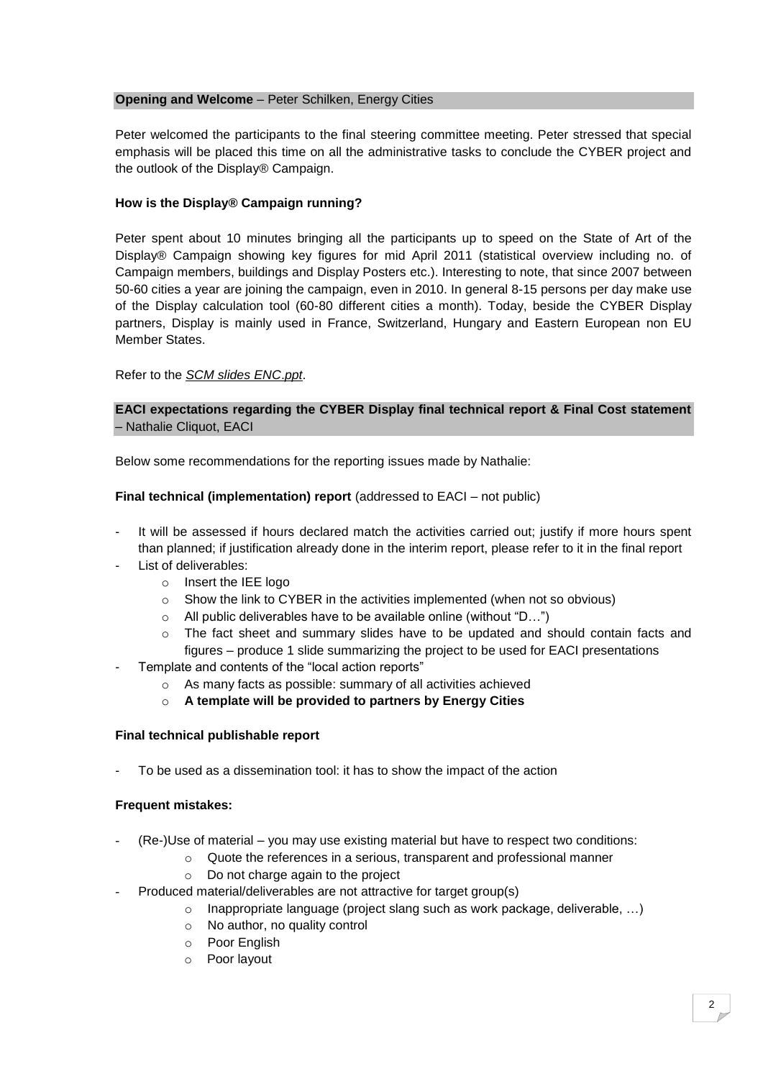#### **Opening and Welcome** – Peter Schilken, Energy Cities

Peter welcomed the participants to the final steering committee meeting. Peter stressed that special emphasis will be placed this time on all the administrative tasks to conclude the CYBER project and the outlook of the Display® Campaign.

### **How is the Display® Campaign running?**

Peter spent about 10 minutes bringing all the participants up to speed on the State of Art of the Display® Campaign showing key figures for mid April 2011 (statistical overview including no. of Campaign members, buildings and Display Posters etc.). Interesting to note, that since 2007 between 50-60 cities a year are joining the campaign, even in 2010. In general 8-15 persons per day make use of the Display calculation tool (60-80 different cities a month). Today, beside the CYBER Display partners, Display is mainly used in France, Switzerland, Hungary and Eastern European non EU Member States.

# Refer to the *SCM slides ENC*.*ppt*.

# **EACI expectations regarding the CYBER Display final technical report & Final Cost statement**  – Nathalie Cliquot, EACI

Below some recommendations for the reporting issues made by Nathalie:

### **Final technical (implementation) report** (addressed to EACI – not public)

- It will be assessed if hours declared match the activities carried out; justify if more hours spent than planned; if justification already done in the interim report, please refer to it in the final report
- List of deliverables:
	- o Insert the IEE logo
	- $\circ$  Show the link to CYBER in the activities implemented (when not so obvious)
	- o All public deliverables have to be available online (without "D…")
	- $\circ$  The fact sheet and summary slides have to be updated and should contain facts and figures – produce 1 slide summarizing the project to be used for EACI presentations
- Template and contents of the "local action reports"
	- o As many facts as possible: summary of all activities achieved
	- o **A template will be provided to partners by Energy Cities**

### **Final technical publishable report**

To be used as a dissemination tool: it has to show the impact of the action

#### **Frequent mistakes:**

- (Re-)Use of material you may use existing material but have to respect two conditions:
	- o Quote the references in a serious, transparent and professional manner
		- o Do not charge again to the project
	- Produced material/deliverables are not attractive for target group(s)
		- o Inappropriate language (project slang such as work package, deliverable, …)
		- o No author, no quality control
		- o Poor English
		- o Poor layout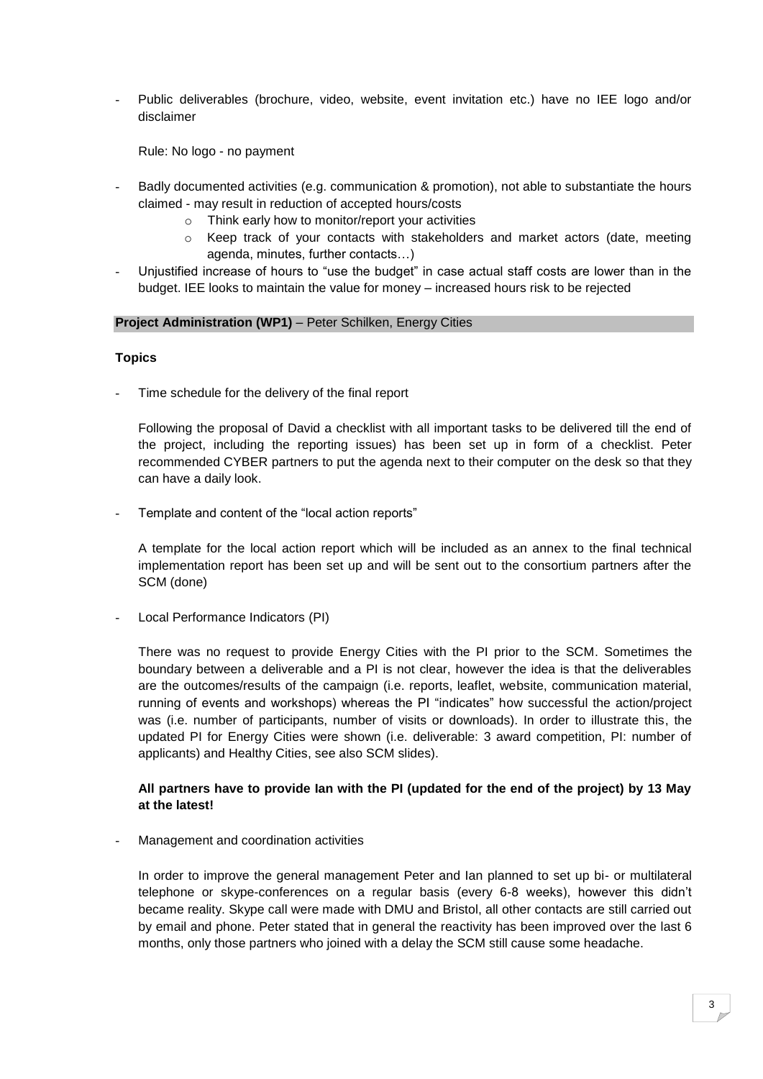- Public deliverables (brochure, video, website, event invitation etc.) have no IEE logo and/or disclaimer

Rule: No logo - no payment

- Badly documented activities (e.g. communication & promotion), not able to substantiate the hours claimed - may result in reduction of accepted hours/costs
	- o Think early how to monitor/report your activities
	- $\circ$  Keep track of your contacts with stakeholders and market actors (date, meeting agenda, minutes, further contacts…)
- Unjustified increase of hours to "use the budget" in case actual staff costs are lower than in the budget. IEE looks to maintain the value for money – increased hours risk to be rejected

#### **Project Administration (WP1)** – Peter Schilken, Energy Cities

### **Topics**

Time schedule for the delivery of the final report

Following the proposal of David a checklist with all important tasks to be delivered till the end of the project, including the reporting issues) has been set up in form of a checklist. Peter recommended CYBER partners to put the agenda next to their computer on the desk so that they can have a daily look.

Template and content of the "local action reports"

A template for the local action report which will be included as an annex to the final technical implementation report has been set up and will be sent out to the consortium partners after the SCM (done)

Local Performance Indicators (PI)

There was no request to provide Energy Cities with the PI prior to the SCM. Sometimes the boundary between a deliverable and a PI is not clear, however the idea is that the deliverables are the outcomes/results of the campaign (i.e. reports, leaflet, website, communication material, running of events and workshops) whereas the PI "indicates" how successful the action/project was (i.e. number of participants, number of visits or downloads). In order to illustrate this, the updated PI for Energy Cities were shown (i.e. deliverable: 3 award competition, PI: number of applicants) and Healthy Cities, see also SCM slides).

# **All partners have to provide Ian with the PI (updated for the end of the project) by 13 May at the latest!**

Management and coordination activities

In order to improve the general management Peter and Ian planned to set up bi- or multilateral telephone or skype-conferences on a regular basis (every 6-8 weeks), however this didn"t became reality. Skype call were made with DMU and Bristol, all other contacts are still carried out by email and phone. Peter stated that in general the reactivity has been improved over the last 6 months, only those partners who joined with a delay the SCM still cause some headache.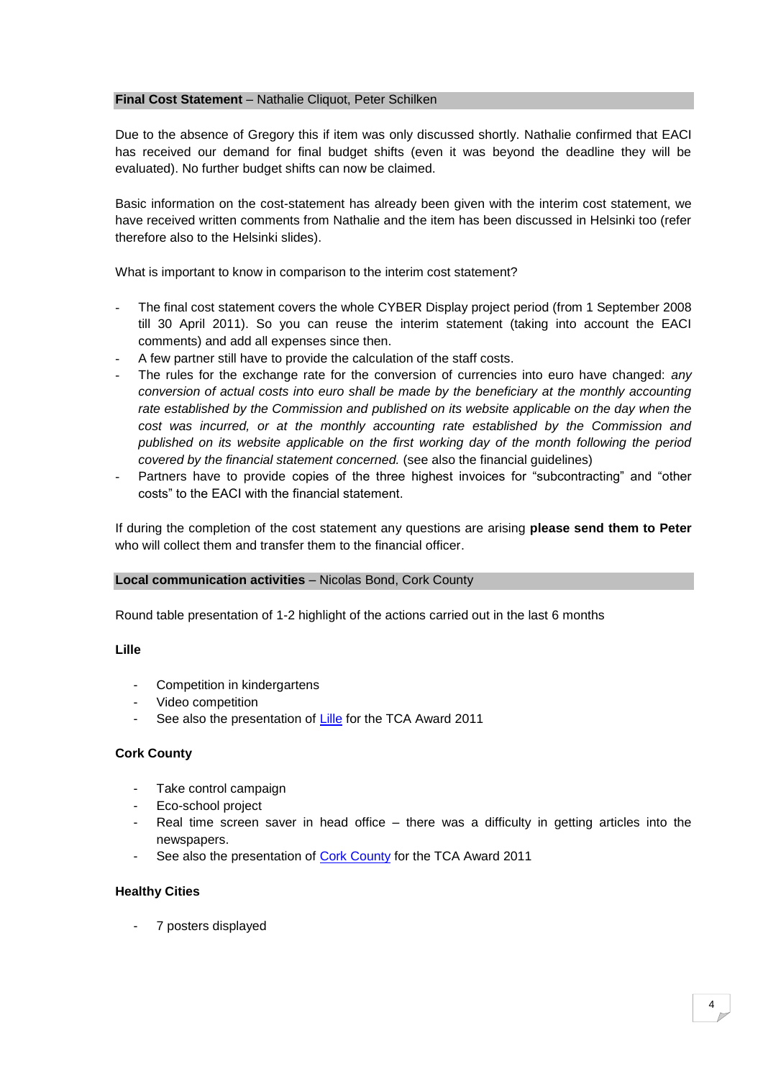#### **Final Cost Statement** – Nathalie Cliquot, Peter Schilken

Due to the absence of Gregory this if item was only discussed shortly. Nathalie confirmed that EACI has received our demand for final budget shifts (even it was beyond the deadline they will be evaluated). No further budget shifts can now be claimed.

Basic information on the cost-statement has already been given with the interim cost statement, we have received written comments from Nathalie and the item has been discussed in Helsinki too (refer therefore also to the Helsinki slides).

What is important to know in comparison to the interim cost statement?

- The final cost statement covers the whole CYBER Display project period (from 1 September 2008) till 30 April 2011). So you can reuse the interim statement (taking into account the EACI comments) and add all expenses since then.
- A few partner still have to provide the calculation of the staff costs.
- The rules for the exchange rate for the conversion of currencies into euro have changed: *any conversion of actual costs into euro shall be made by the beneficiary at the monthly accounting rate established by the Commission and published on its website applicable on the day when the cost was incurred, or at the monthly accounting rate established by the Commission and published on its website applicable on the first working day of the month following the period covered by the financial statement concerned.* (see also the financial guidelines)
- Partners have to provide copies of the three highest invoices for "subcontracting" and "other costs" to the EACI with the financial statement.

If during the completion of the cost statement any questions are arising **please send them to Peter** who will collect them and transfer them to the financial officer.

#### **Local communication activities** – Nicolas Bond, Cork County

Round table presentation of 1-2 highlight of the actions carried out in the last 6 months

**Lille**

- Competition in kindergartens
- Video competition
- See also the presentation of [Lille](http://www.display-campaign.org/IMG/pdf/TCA2011_Lille.pdf) for the TCA Award 2011

#### **Cork County**

- Take control campaign
- Eco-school project
- Real time screen saver in head office there was a difficulty in getting articles into the newspapers.
- See also the presentation of [Cork County](http://www.display-campaign.org/IMG/pdf/TCA2011_Cork_County.pdf) for the TCA Award 2011

#### **Healthy Cities**

- 7 posters displayed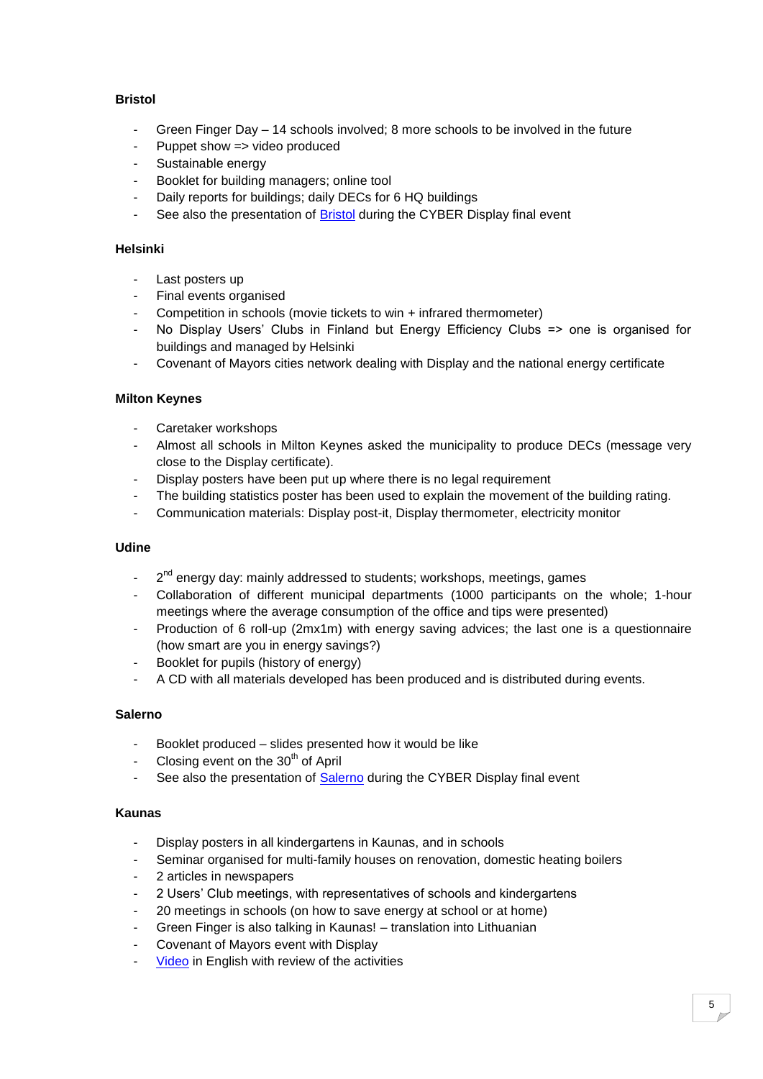# **Bristol**

- Green Finger Day  $-$  14 schools involved; 8 more schools to be involved in the future
- Puppet show => video produced
- Sustainable energy
- Booklet for building managers; online tool
- Daily reports for buildings; daily DECs for 6 HQ buildings
- See also the presentation of **Bristol** during the CYBER Display final event

# **Helsinki**

- Last posters up
- Final events organised
- Competition in schools (movie tickets to win + infrared thermometer)
- No Display Users' Clubs in Finland but Energy Efficiency Clubs => one is organised for buildings and managed by Helsinki
- Covenant of Mayors cities network dealing with Display and the national energy certificate

# **Milton Keynes**

- Caretaker workshops
- Almost all schools in Milton Keynes asked the municipality to produce DECs (message very close to the Display certificate).
- Display posters have been put up where there is no legal requirement
- The building statistics poster has been used to explain the movement of the building rating.
- Communication materials: Display post-it, Display thermometer, electricity monitor

### **Udine**

- 2<sup>nd</sup> energy day: mainly addressed to students; workshops, meetings, games
- Collaboration of different municipal departments (1000 participants on the whole; 1-hour meetings where the average consumption of the office and tips were presented)
- Production of 6 roll-up (2mx1m) with energy saving advices; the last one is a questionnaire (how smart are you in energy savings?)
- Booklet for pupils (history of energy)
- A CD with all materials developed has been produced and is distributed during events.

### **Salerno**

- Booklet produced slides presented how it would be like
- Closing event on the 30<sup>th</sup> of April
- See also the presentation of [Salerno](http://www.display-campaign.org/IMG/pdf/Salerno_IT_.pdf) during the CYBER Display final event

### **Kaunas**

- Display posters in all kindergartens in Kaunas, and in schools
- Seminar organised for multi-family houses on renovation, domestic heating boilers
- 2 articles in newspapers
- 2 Users' Club meetings, with representatives of schools and kindergartens
- 20 meetings in schools (on how to save energy at school or at home)
- Green Finger is also talking in Kaunas! translation into Lithuanian
- Covenant of Mayors event with Display
- [Video](http://www.youtube.com/watch?v=dkti6JsTDJc) in English with review of the activities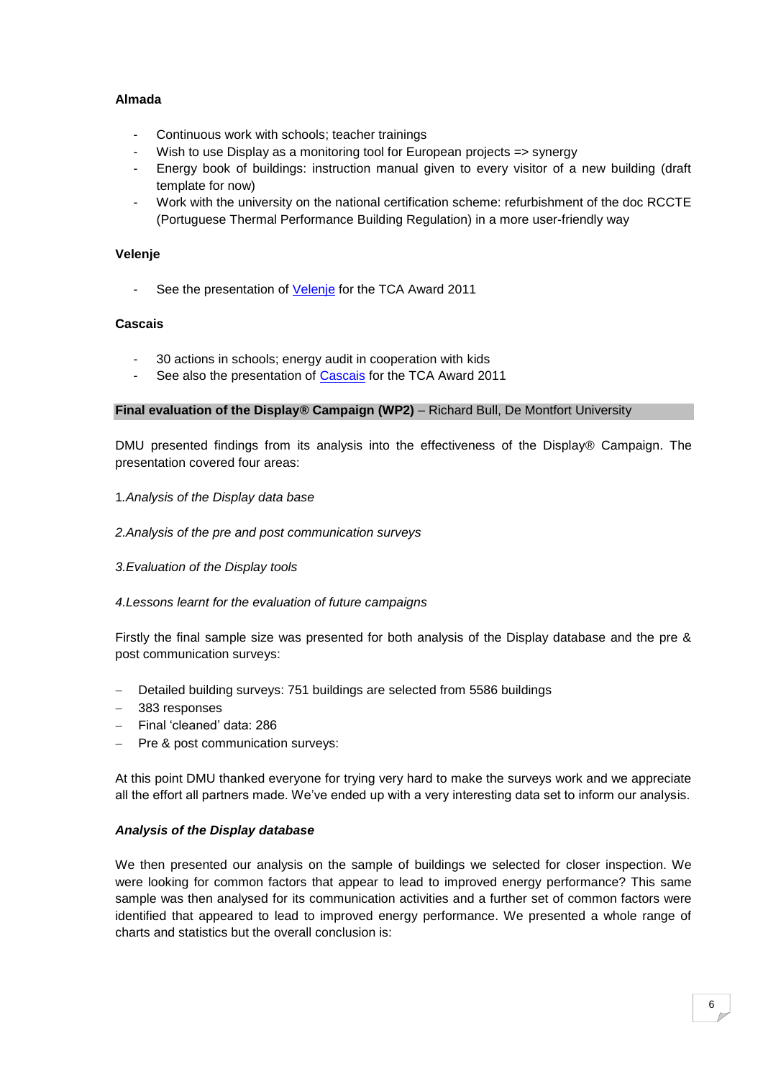# **Almada**

- Continuous work with schools; teacher trainings
- Wish to use Display as a monitoring tool for European projects => synergy
- Energy book of buildings: instruction manual given to every visitor of a new building (draft template for now)
- Work with the university on the national certification scheme: refurbishment of the doc RCCTE (Portuguese Thermal Performance Building Regulation) in a more user-friendly way

### **Velenje**

- See the presentation of [Velenje](http://www.display-campaign.org/IMG/pdf/TCA2011_Velenje.pdf) for the TCA Award 2011

# **Cascais**

- 30 actions in schools; energy audit in cooperation with kids
- See also the presentation of [Cascais](http://www.display-campaign.org/IMG/pdf/TCA2011_Cascais.pdf) for the TCA Award 2011

### **Final evaluation of the Display® Campaign (WP2)** – Richard Bull, De Montfort University

DMU presented findings from its analysis into the effectiveness of the Display® Campaign. The presentation covered four areas:

### 1*.Analysis of the Display data base*

#### *2.Analysis of the pre and post communication surveys*

### *3.Evaluation of the Display tools*

### *4.Lessons learnt for the evaluation of future campaigns*

Firstly the final sample size was presented for both analysis of the Display database and the pre & post communication surveys:

- Detailed building surveys: 751 buildings are selected from 5586 buildings
- 383 responses
- Final "cleaned" data: 286
- Pre & post communication surveys:

At this point DMU thanked everyone for trying very hard to make the surveys work and we appreciate all the effort all partners made. We"ve ended up with a very interesting data set to inform our analysis.

### *Analysis of the Display database*

We then presented our analysis on the sample of buildings we selected for closer inspection. We were looking for common factors that appear to lead to improved energy performance? This same sample was then analysed for its communication activities and a further set of common factors were identified that appeared to lead to improved energy performance. We presented a whole range of charts and statistics but the overall conclusion is: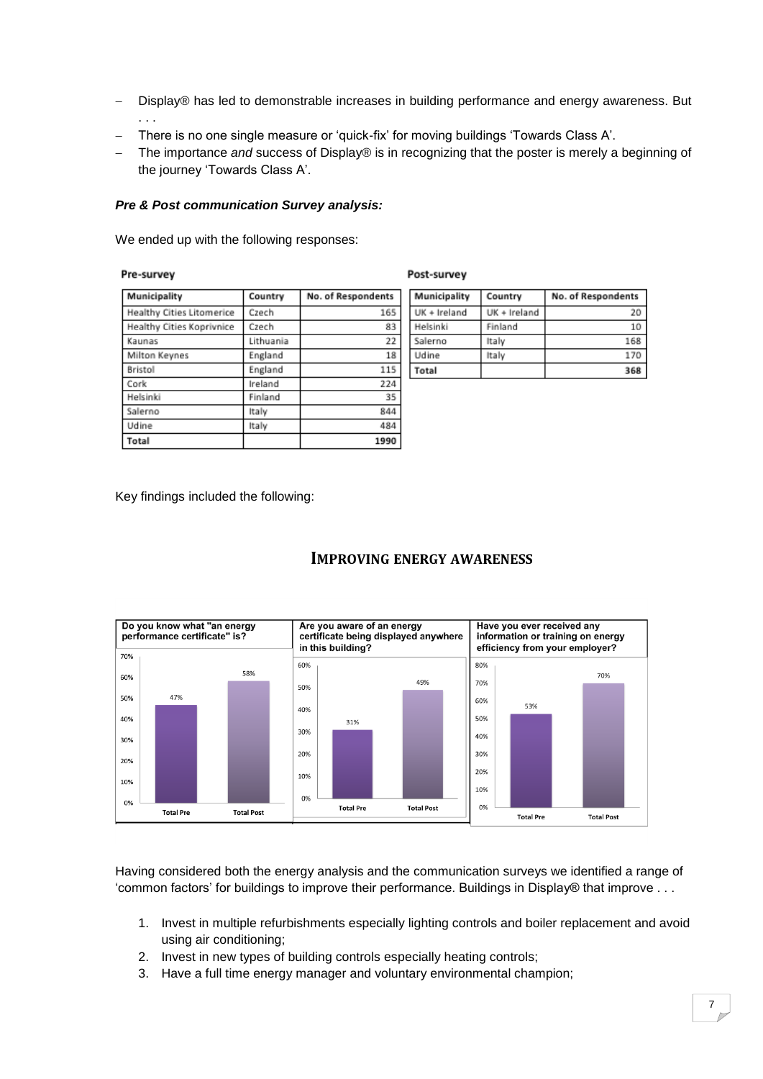- Display® has led to demonstrable increases in building performance and energy awareness. But . . .
- There is no one single measure or 'quick-fix' for moving buildings 'Towards Class A'.
- The importance *and* success of Display® is in recognizing that the poster is merely a beginning of the journey 'Towards Class A'.

#### *Pre & Post communication Survey analysis:*

We ended up with the following responses:

#### Pre-survey

| ×ч<br>חו |  |
|----------|--|
|----------|--|

| Municipality                     | Country   | No. of Respondents |
|----------------------------------|-----------|--------------------|
| <b>Healthy Cities Litomerice</b> | Czech     | 165                |
| Healthy Cities Koprivnice        | Czech     | 83                 |
| Kaunas                           | Lithuania | 22                 |
| Milton Keynes                    | England   | 18                 |
| Bristol                          | England   | 115                |
| Cork                             | Ireland   | 224                |
| Helsinki                         | Finland   | 35                 |
| Salerno                          | Italy     | 844                |
| Udine                            | Italy     | 484                |
| Total                            |           | 1990               |

| Municipality | Country      | No. of Respondents |  |  |  |
|--------------|--------------|--------------------|--|--|--|
| UK + Ireland | UK + Ireland | 20                 |  |  |  |
| Helsinki     | Finland      | 10                 |  |  |  |
| Salerno      | Italy        | 168                |  |  |  |
| Udine        | Italy        | 170                |  |  |  |
| Total        |              | 368                |  |  |  |

Key findings included the following:

# **IMPROVING ENERGY AWARENESS**



Having considered both the energy analysis and the communication surveys we identified a range of "common factors" for buildings to improve their performance. Buildings in Display® that improve . . .

- 1. Invest in multiple refurbishments especially lighting controls and boiler replacement and avoid using air conditioning;
- 2. Invest in new types of building controls especially heating controls;
- 3. Have a full time energy manager and voluntary environmental champion;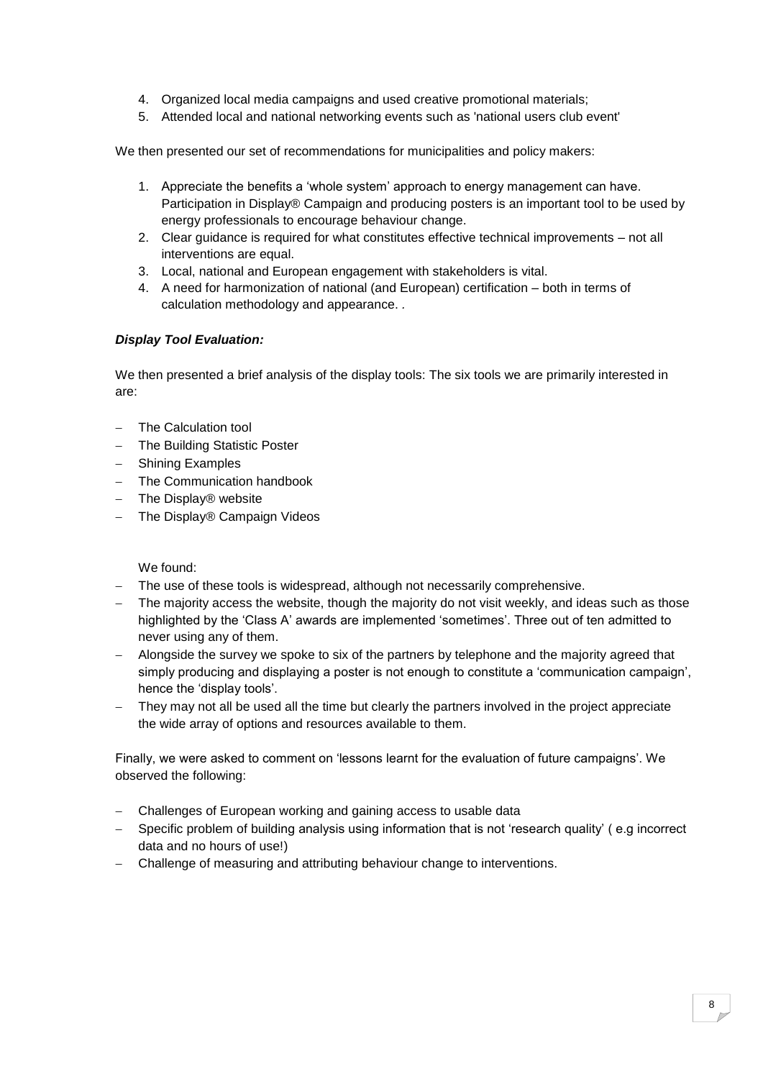- 4. Organized local media campaigns and used creative promotional materials;
- 5. Attended local and national networking events such as 'national users club event'

We then presented our set of recommendations for municipalities and policy makers:

- 1. Appreciate the benefits a "whole system" approach to energy management can have. Participation in Display® Campaign and producing posters is an important tool to be used by energy professionals to encourage behaviour change.
- 2. Clear guidance is required for what constitutes effective technical improvements not all interventions are equal.
- 3. Local, national and European engagement with stakeholders is vital.
- 4. A need for harmonization of national (and European) certification both in terms of calculation methodology and appearance. *.*

# *Display Tool Evaluation:*

We then presented a brief analysis of the display tools: The six tools we are primarily interested in are:

- The Calculation tool
- The Building Statistic Poster
- Shining Examples
- The Communication handbook
- The Display® website
- The Display® Campaign Videos

We found:

- The use of these tools is widespread, although not necessarily comprehensive.
- The majority access the website, though the majority do not visit weekly, and ideas such as those highlighted by the 'Class A' awards are implemented 'sometimes'. Three out of ten admitted to never using any of them.
- Alongside the survey we spoke to six of the partners by telephone and the majority agreed that simply producing and displaying a poster is not enough to constitute a 'communication campaign', hence the 'display tools'.
- They may not all be used all the time but clearly the partners involved in the project appreciate the wide array of options and resources available to them.

Finally, we were asked to comment on "lessons learnt for the evaluation of future campaigns". We observed the following:

- Challenges of European working and gaining access to usable data
- Specific problem of building analysis using information that is not 'research quality' (e.g incorrect data and no hours of use!)
- Challenge of measuring and attributing behaviour change to interventions.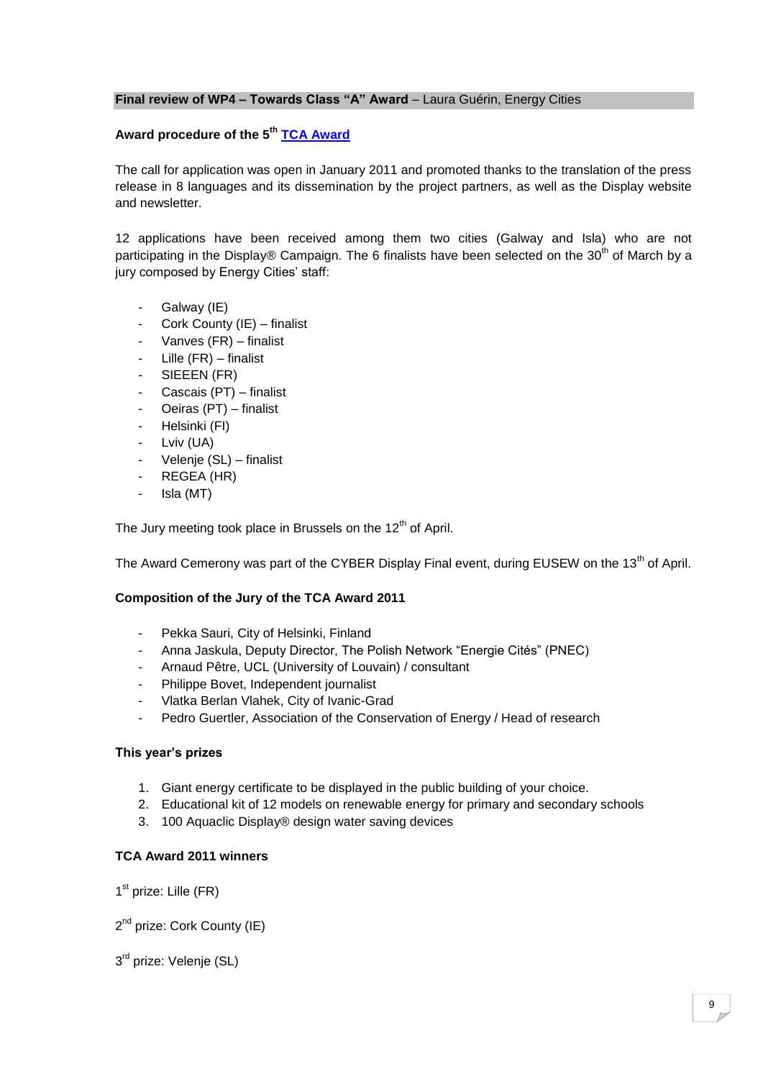#### **Final review of WP4 - Towards Class "A" Award - Laura Guérin, Energy Cities**

# **Award procedure of the 5th [TCA Award](http://www.display-campaign.org/about844)**

The call for application was open in January 2011 and promoted thanks to the translation of the press release in 8 languages and its dissemination by the project partners, as well as the Display website and newsletter.

12 applications have been received among them two cities (Galway and Isla) who are not participating in the Display® Campaign. The 6 finalists have been selected on the 30<sup>th</sup> of March by a jury composed by Energy Cities' staff:

- Galway (IE)
- Cork County (IE) finalist
- Vanves (FR) finalist
- Lille  $(FR)$  finalist
- SIEEEN (FR)
- Cascais (PT) finalist
- Oeiras (PT) finalist
- Helsinki (FI)
- Lviv (UA)
- Velenje (SL) finalist
- REGEA (HR)
- Isla (MT)

The Jury meeting took place in Brussels on the 12<sup>th</sup> of April.

The Award Cemerony was part of the CYBER Display Final event, during EUSEW on the 13<sup>th</sup> of April.

### **Composition of the Jury of the TCA Award 2011**

- Pekka Sauri, City of Helsinki, Finland
- Anna Jaskula, Deputy Director, The Polish Network "Energie Cités" (PNEC)
- Arnaud Pêtre, UCL (University of Louvain) / consultant
- Philippe Bovet, Independent journalist
- Vlatka Berlan Vlahek, City of Ivanic-Grad
- Pedro Guertler, Association of the Conservation of Energy / Head of research

#### **This year's prizes**

- 1. Giant energy certificate to be displayed in the public building of your choice.
- 2. Educational kit of 12 models on renewable energy for primary and secondary schools
- 3. 100 Aquaclic Display® design water saving devices

#### **TCA Award 2011 winners**

1<sup>st</sup> prize: Lille (FR)

2<sup>nd</sup> prize: Cork County (IE)

3<sup>rd</sup> prize: Velenje (SL)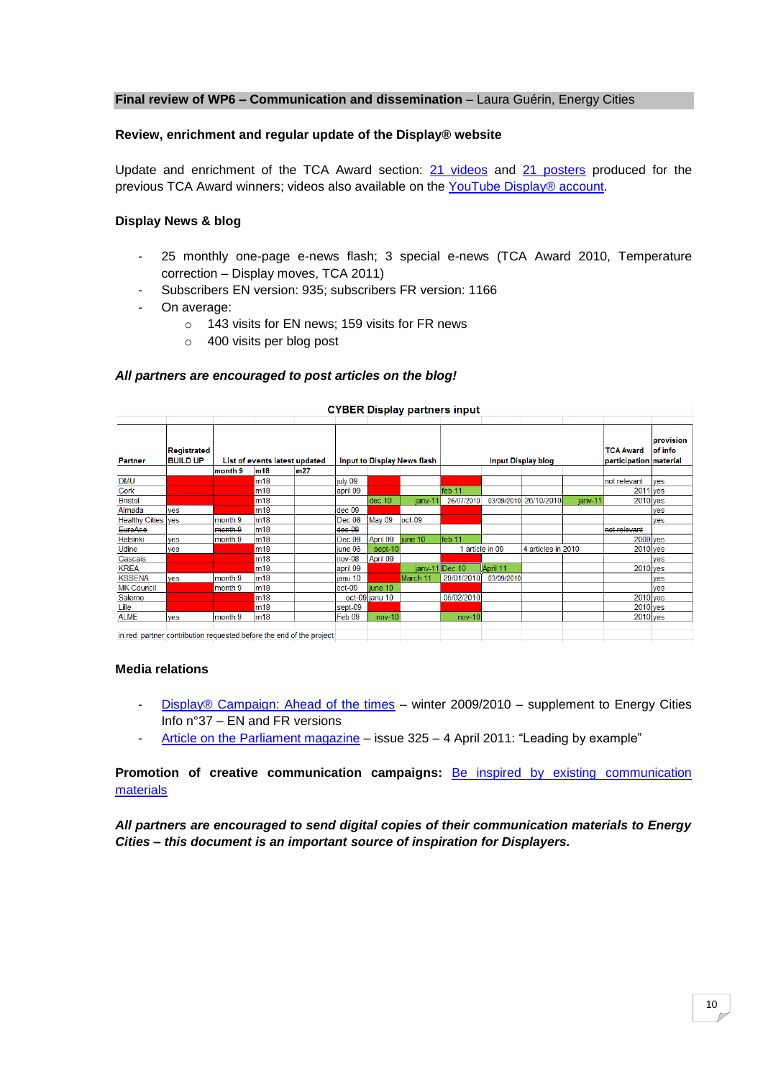#### **Final review of WP6 - Communication and dissemination** - Laura Guérin, Energy Cities

#### **Review, enrichment and regular update of the Display® website**

Update and enrichment of the TCA Award section: [21 videos](http://www.display-campaign.org/ab_844_1216) and [21 posters](http://www.display-campaign.org/ab_844_959) produced for the previous TCA Award winners; videos also available on the [YouTube Display® account.](http://www.youtube.com/user/displaycampaign?gl=US#p/u)

#### **Display News & blog**

- 25 monthly one-page e-news flash; 3 special e-news (TCA Award 2010, Temperature correction – Display moves, TCA 2011)
- Subscribers EN version: 935; subscribers FR version: 1166
- On average:
	- o 143 visits for EN news; 159 visits for FR news
	- o 400 visits per blog post

#### *All partners are encouraged to post articles on the blog!*

|                                                                      | CTBLK Display partiers imput   |         |                               |     |          |                             |          |                 |                           |                    |         |                                            |                      |
|----------------------------------------------------------------------|--------------------------------|---------|-------------------------------|-----|----------|-----------------------------|----------|-----------------|---------------------------|--------------------|---------|--------------------------------------------|----------------------|
| <b>Partner</b>                                                       | Registrated<br><b>BUILD UP</b> |         | List of events latest updated |     |          | Input to Display News flash |          |                 | <b>Input Display blog</b> |                    |         | <b>TCA Award</b><br>participation material | provision<br>of info |
|                                                                      |                                | month 9 | m18                           | m27 |          |                             |          |                 |                           |                    |         |                                            |                      |
| <b>DMU</b>                                                           |                                |         | m18                           |     | july 09  |                             |          |                 |                           |                    |         | not relevant                               | ves                  |
| Cork                                                                 |                                |         | m18                           |     | april 09 |                             |          | feb 11          |                           |                    |         | <b>2011</b> ves                            |                      |
| <b>Bristol</b>                                                       |                                |         | m18                           |     |          | dec 10                      | ianv-1   | 26/07/2010      | 03/09/2010                | 26/10/2010         | ianv-11 | $2010$ yes                                 |                      |
| Almada                                                               | ves                            |         | m18                           |     | dec 09   |                             |          |                 |                           |                    |         |                                            | ves                  |
| Healthy Cities ves                                                   |                                | month 9 | m18                           |     | Dec 08   | May 09                      | $oct-09$ |                 |                           |                    |         |                                            | ves                  |
| EuroAce                                                              |                                | month 9 | m18                           |     | dec.08   |                             |          |                 |                           |                    |         | not relevant                               |                      |
| <b>Helsinki</b>                                                      | ves                            | month 9 | $\mathsf{Im}18$               |     | Dec 08   | April 09                    | june 10  | feb 11          |                           |                    |         | $2009$ yes                                 |                      |
| Udine                                                                | ves                            |         | m18                           |     | iune 06  | sept-10                     |          | 1 article in 09 |                           | 4 articles in 2010 |         | $2010$ yes                                 |                      |
| Cascais                                                              |                                |         | m18                           |     | nov-08   | April 09                    |          |                 |                           |                    |         |                                            | ves                  |
| <b>KREA</b>                                                          |                                |         | m <sub>18</sub>               |     | april 09 |                             |          | ianv-11 Dec 10  | April 11                  |                    |         | $2010$ yes                                 |                      |
| <b>KSSENA</b>                                                        | yes                            | month 9 | m <sub>18</sub>               |     | ianu 10  |                             | March 11 | 29/01/2010      | 03/09/2010                |                    |         |                                            | <b>ves</b>           |
| <b>MK Council</b>                                                    |                                | month 9 | m18                           |     | $oct-09$ | iune 10                     |          |                 |                           |                    |         |                                            | yes                  |
| Salerno                                                              |                                |         | m18                           |     |          | oct-09 janu 10              |          | 05/02/2010      |                           |                    |         | $2010$ yes                                 |                      |
| Lille                                                                |                                |         | m18                           |     | sept-09  |                             |          |                 |                           |                    |         | $2010$ yes                                 |                      |
| <b>ALME</b>                                                          | ves                            | month 9 | m <sub>18</sub>               |     | Feb 09   | $nov-10$                    |          | $nov-10$        |                           |                    |         | $2010$ yes                                 |                      |
| in red: partner contribution requested before the end of the project |                                |         |                               |     |          |                             |          |                 |                           |                    |         |                                            |                      |

#### CYRER Display partners input

#### **Media relations**

- Display® [Campaign: Ahead of the times](http://www.display-campaign.org/IMG/pdf/EC_INFO_supplement_37_FINAL_EN.pdf) winter 2009/2010 supplement to Energy Cities Info n°37 – EN and FR versions
- [Article on the Parliament magazine](http://www.display-campaign.org/IMG/pdf/2011-04-04_Leading__by__example_by_Ian_Turner_and_Peter_Schilken_Parliament_Magazine_Issue325_en.pdf) issue 325 4 April 2011: "Leading by example"

**Promotion of creative communication campaigns:** [Be inspired by existing communication](http://www.display-campaign.org/campaign866)  **[materials](http://www.display-campaign.org/campaign866)** 

*All partners are encouraged to send digital copies of their communication materials to Energy Cities – this document is an important source of inspiration for Displayers.*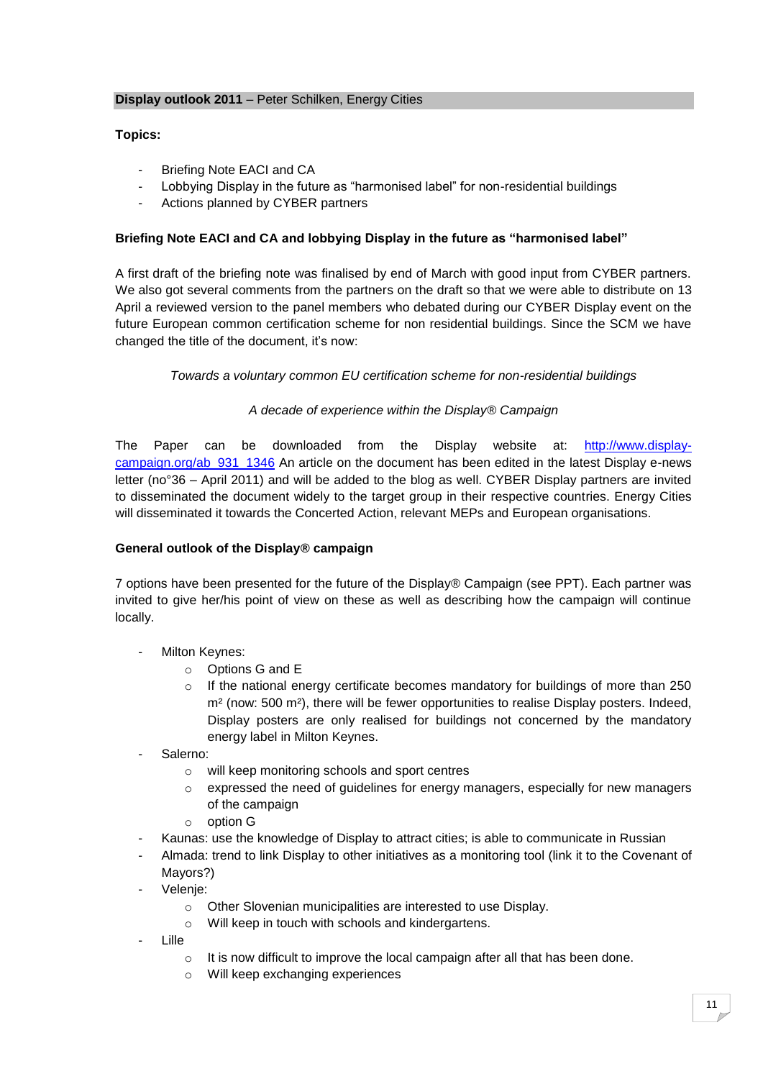### **Topics:**

- Briefing Note EACI and CA
- Lobbying Display in the future as "harmonised label" for non-residential buildings
- Actions planned by CYBER partners

### **Briefing Note EACI and CA and lobbying Display in the future as "harmonised label"**

A first draft of the briefing note was finalised by end of March with good input from CYBER partners. We also got several comments from the partners on the draft so that we were able to distribute on 13 April a reviewed version to the panel members who debated during our CYBER Display event on the future European common certification scheme for non residential buildings. Since the SCM we have changed the title of the document, it's now:

### *Towards a voluntary common EU certification scheme for non-residential buildings*

# *A decade of experience within the Display® Campaign*

The Paper can be downloaded from the Display website at: [http://www.display](http://www.display-campaign.org/ab_931_1346)[campaign.org/ab\\_931\\_1346](http://www.display-campaign.org/ab_931_1346) An article on the document has been edited in the latest Display e-news letter (no°36 – April 2011) and will be added to the blog as well. CYBER Display partners are invited to disseminated the document widely to the target group in their respective countries. Energy Cities will disseminated it towards the Concerted Action, relevant MEPs and European organisations.

### **General outlook of the Display® campaign**

7 options have been presented for the future of the Display® Campaign (see PPT). Each partner was invited to give her/his point of view on these as well as describing how the campaign will continue locally.

- Milton Keynes:
	- o Options G and E
	- $\circ$  If the national energy certificate becomes mandatory for buildings of more than 250 m<sup>2</sup> (now: 500 m<sup>2</sup>), there will be fewer opportunities to realise Display posters. Indeed, Display posters are only realised for buildings not concerned by the mandatory energy label in Milton Keynes.
- Salerno:
	- o will keep monitoring schools and sport centres
	- o expressed the need of guidelines for energy managers, especially for new managers of the campaign
	- o option G
- Kaunas: use the knowledge of Display to attract cities; is able to communicate in Russian
- Almada: trend to link Display to other initiatives as a monitoring tool (link it to the Covenant of Mayors?)
- Velenie:
	- o Other Slovenian municipalities are interested to use Display.
	- o Will keep in touch with schools and kindergartens.
- Lille
	- $\circ$  It is now difficult to improve the local campaign after all that has been done.
	- o Will keep exchanging experiences